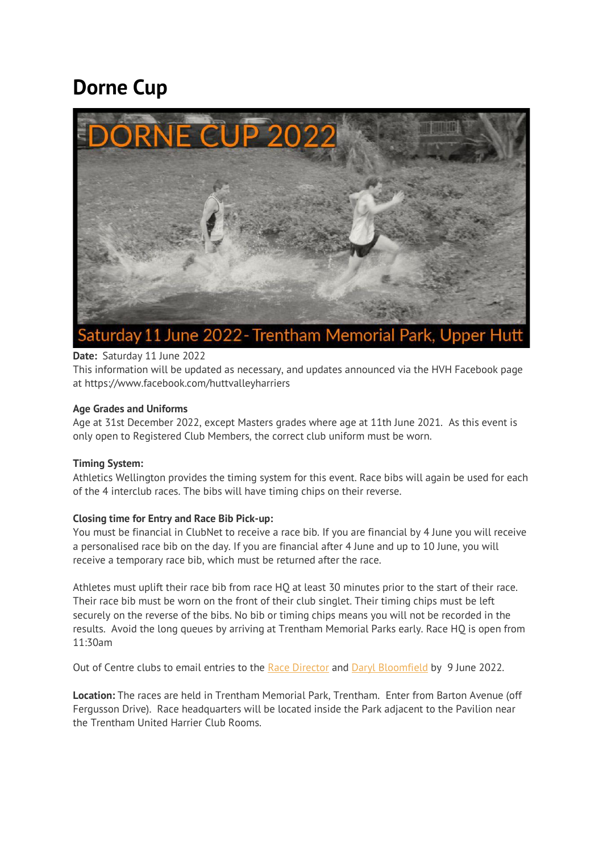# **Dorne Cup**



# **Date:** Saturday 11 June 2022

This information will be updated as necessary, and updates announced via the HVH Facebook page at https://www.facebook.com/huttvalleyharriers

# **Age Grades and Uniforms**

Age at 31st December 2022, except Masters grades where age at 11th June 2021. As this event is only open to Registered Club Members, the correct club uniform must be worn.

# **Timing System:**

Athletics Wellington provides the timing system for this event. Race bibs will again be used for each of the 4 interclub races. The bibs will have timing chips on their reverse.

# **Closing time for Entry and Race Bib Pick-up:**

You must be financial in ClubNet to receive a race bib. If you are financial by 4 June you will receive a personalised race bib on the day. If you are financial after 4 June and up to 10 June, you will receive a temporary race bib, which must be returned after the race.

Athletes must uplift their race bib from race HQ at least 30 minutes prior to the start of their race. Their race bib must be worn on the front of their club singlet. Their timing chips must be left securely on the reverse of the bibs. No bib or timing chips means you will not be recorded in the results. Avoid the long queues by arriving at Trentham Memorial Parks early. Race HQ is open from 11:30am

Out of Centre clubs to email entries to the Race [Director](mailto:clubcaptain@hvh.org.nz) and Daryl [Bloomfield](mailto:daryl@fedude.co.nz) by 9 June 2022.

**Location:** The races are held in Trentham Memorial Park, Trentham. Enter from Barton Avenue (off Fergusson Drive). Race headquarters will be located inside the Park adjacent to the Pavilion near the Trentham United Harrier Club Rooms.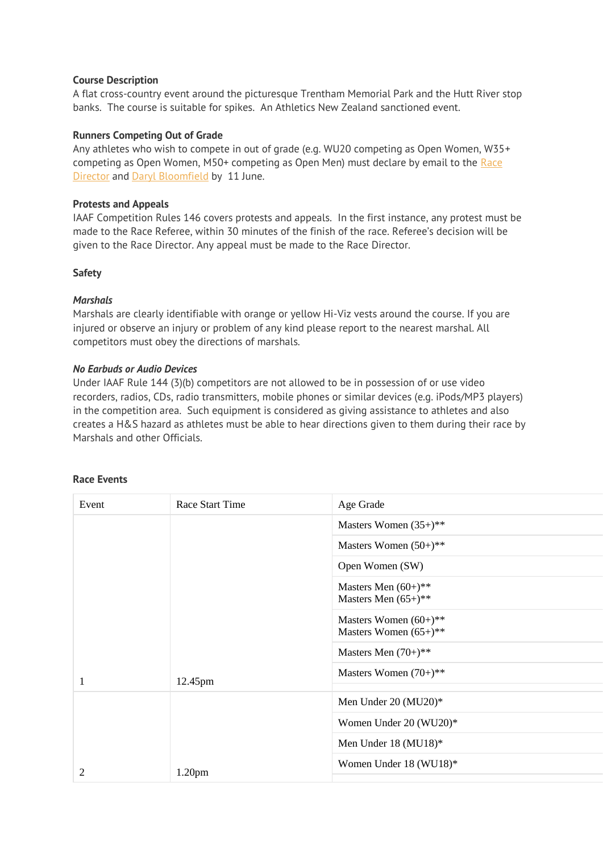#### **Course Description**

A flat cross-country event around the picturesque Trentham Memorial Park and the Hutt River stop banks. The course is suitable for spikes. An Athletics New Zealand sanctioned event.

#### **Runners Competing Out of Grade**

Any athletes who wish to compete in out of grade (e.g. WU20 competing as Open Women, W35+ competing as Open Women, M50+ competing as Open Men) must declare by email to the [Race](mailto:clubcaptain@hvh.org.nz) [Director](mailto:clubcaptain@hvh.org.nz) and Daryl [Bloomfield](mailto:daryl@fedude.co.nz) by 11 June.

#### **Protests and Appeals**

IAAF Competition Rules 146 covers protests and appeals. In the first instance, any protest must be made to the Race Referee, within 30 minutes of the finish of the race. Referee's decision will be given to the Race Director. Any appeal must be made to the Race Director.

#### **Safety**

#### *Marshals*

Marshals are clearly identifiable with orange or yellow Hi-Viz vests around the course. If you are injured or observe an injury or problem of any kind please report to the nearest marshal. All competitors must obey the directions of marshals.

#### *No Earbuds or Audio Devices*

Under IAAF Rule 144 (3)(b) competitors are not allowed to be in possession of or use video recorders, radios, CDs, radio transmitters, mobile phones or similar devices (e.g. iPods/MP3 players) in the competition area. Such equipment is considered as giving assistance to athletes and also creates a H&S hazard as athletes must be able to hear directions given to them during their race by Marshals and other Officials.

| Event | Race Start Time    | Age Grade                                            |
|-------|--------------------|------------------------------------------------------|
|       |                    | Masters Women $(35+)$ **                             |
|       |                    | Masters Women $(50+)$ **                             |
|       |                    | Open Women (SW)                                      |
|       |                    | Masters Men $(60+)$ **<br>Masters Men $(65+)$ **     |
|       |                    | Masters Women $(60+)$ **<br>Masters Women $(65+)$ ** |
|       |                    | Masters Men $(70+)$ **                               |
| 1     | 12.45pm            | Masters Women $(70+)$ **                             |
|       |                    | Men Under 20 (MU20)*                                 |
|       |                    | Women Under 20 (WU20)*                               |
|       |                    | Men Under 18 (MU18)*                                 |
| 2     | 1.20 <sub>pm</sub> | Women Under 18 (WU18)*                               |

# **Race Events**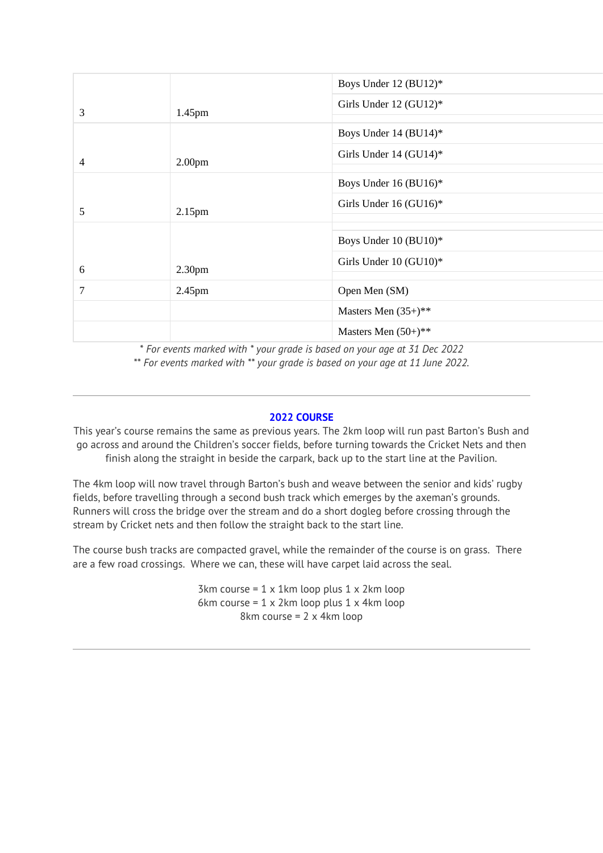|   |                    | Boys Under 12 (BU12)*            |
|---|--------------------|----------------------------------|
| 3 | 1.45pm             | Girls Under $12 \text{ (GU12)}*$ |
|   |                    |                                  |
|   |                    | Boys Under 14 (BU14)*            |
| 4 | 2.00 <sub>pm</sub> | Girls Under $14 \text{ (GU14)}*$ |
|   |                    |                                  |
|   |                    | Boys Under 16 (BU16)*            |
| 5 | 2.15 <sub>pm</sub> | Girls Under 16 (GU16)*           |
|   |                    |                                  |
|   |                    |                                  |
|   |                    | Boys Under 10 (BU10)*            |
| 6 | 2.30 <sub>pm</sub> | Girls Under 10 (GU10)*           |
|   |                    |                                  |
| 7 | 2.45 <sub>pm</sub> | Open Men (SM)                    |
|   |                    | Masters Men $(35+)$ **           |
|   |                    | Masters Men $(50+)$ **           |

*\* For events marked with \* your grade is based on your age at 31 Dec 2022 \*\* For events marked with \*\* your grade is based on your age at 11 June 2022.*

#### **2022 COURSE**

This year's course remains the same as previous years. The 2km loop will run past Barton's Bush and go across and around the Children's soccer fields, before turning towards the Cricket Nets and then finish along the straight in beside the carpark, back up to the start line at the Pavilion.

The 4km loop will now travel through Barton's bush and weave between the senior and kids' rugby fields, before travelling through a second bush track which emerges by the axeman's grounds. Runners will cross the bridge over the stream and do a short dogleg before crossing through the stream by Cricket nets and then follow the straight back to the start line.

The course bush tracks are compacted gravel, while the remainder of the course is on grass. There are a few road crossings. Where we can, these will have carpet laid across the seal.

> 3km course =  $1 \times 1$ km loop plus  $1 \times 2$ km loop 6km course = 1 x 2km loop plus 1 x 4km loop 8km course = 2 x 4km loop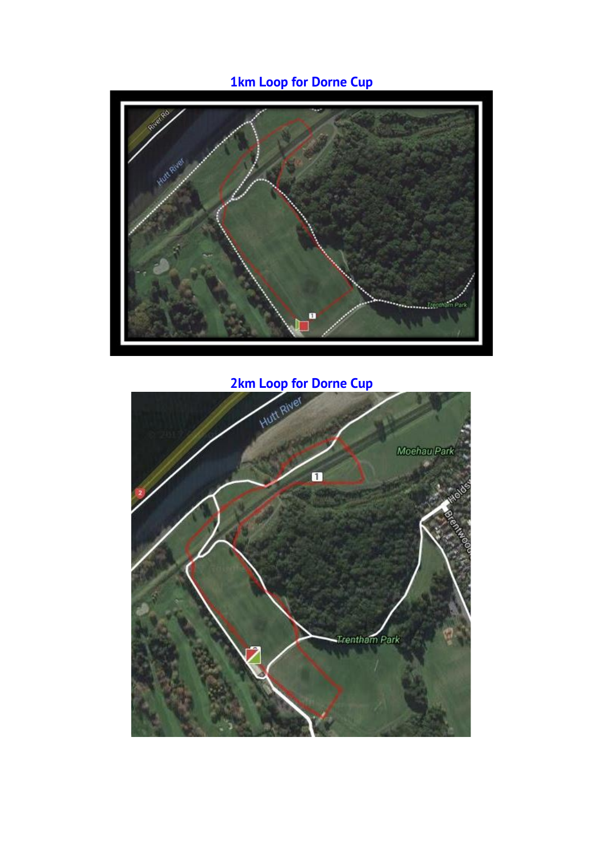# **1km Loop for Dorne Cup**



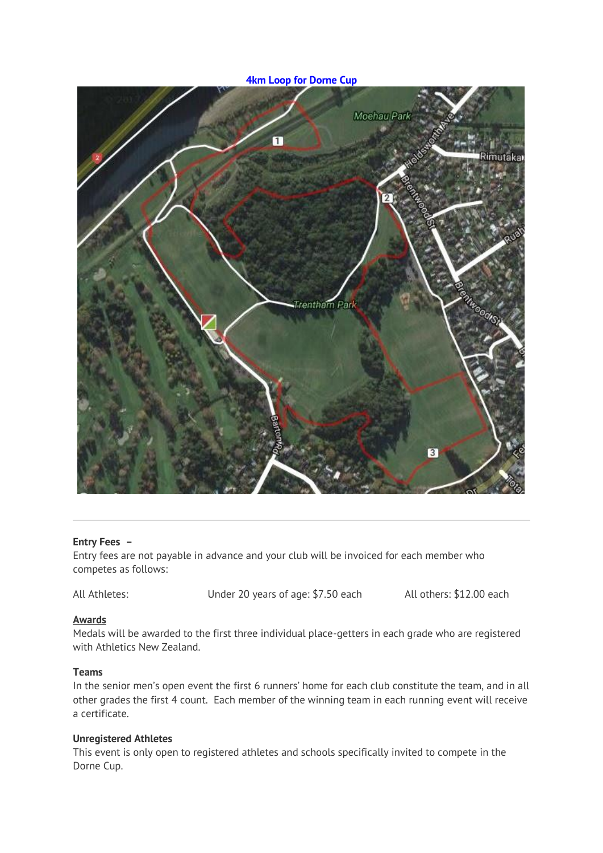**4km Loop for Dorne Cup**



#### **Entry Fees –**

Entry fees are not payable in advance and your club will be invoiced for each member who competes as follows:

All Athletes: Under 20 years of age: \$7.50 each All others: \$12.00 each

#### **Awards**

Medals will be awarded to the first three individual place-getters in each grade who are registered with Athletics New Zealand.

#### **Teams**

In the senior men's open event the first 6 runners' home for each club constitute the team, and in all other grades the first 4 count. Each member of the winning team in each running event will receive a certificate.

#### **Unregistered Athletes**

This event is only open to registered athletes and schools specifically invited to compete in the Dorne Cup.